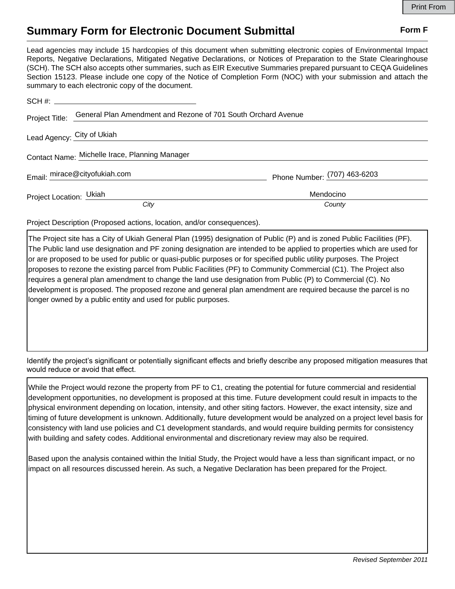## **Summary Form for Electronic Document Submittal Form F Form F**

Lead agencies may include 15 hardcopies of this document when submitting electronic copies of Environmental Impact Reports, Negative Declarations, Mitigated Negative Declarations, or Notices of Preparation to the State Clearinghouse (SCH). The SCH also accepts other summaries, such as EIR Executive Summaries prepared pursuant to CEQA Guidelines Section 15123. Please include one copy of the Notice of Completion Form (NOC) with your submission and attach the summary to each electronic copy of the document.

| Project Title:             | General Plan Amendment and Rezone of 701 South Orchard Avenue |                              |
|----------------------------|---------------------------------------------------------------|------------------------------|
| Lead Agency: City of Ukiah |                                                               |                              |
|                            | Contact Name: Michelle Irace, Planning Manager                |                              |
|                            | Email: mirace@cityofukiah.com                                 | Phone Number: (707) 463-6203 |
| Project Location: Ukiah    |                                                               | Mendocino                    |
|                            | City                                                          | County                       |

Project Description (Proposed actions, location, and/or consequences).

The Project site has a City of Ukiah General Plan (1995) designation of Public (P) and is zoned Public Facilities (PF). The Public land use designation and PF zoning designation are intended to be applied to properties which are used for or are proposed to be used for public or quasi-public purposes or for specified public utility purposes. The Project proposes to rezone the existing parcel from Public Facilities (PF) to Community Commercial (C1). The Project also requires a general plan amendment to change the land use designation from Public (P) to Commercial (C). No development is proposed. The proposed rezone and general plan amendment are required because the parcel is no longer owned by a public entity and used for public purposes.

Identify the project's significant or potentially significant effects and briefly describe any proposed mitigation measures that would reduce or avoid that effect.

While the Project would rezone the property from PF to C1, creating the potential for future commercial and residential development opportunities, no development is proposed at this time. Future development could result in impacts to the physical environment depending on location, intensity, and other siting factors. However, the exact intensity, size and timing of future development is unknown. Additionally, future development would be analyzed on a project level basis for consistency with land use policies and C1 development standards, and would require building permits for consistency with building and safety codes. Additional environmental and discretionary review may also be required.

Based upon the analysis contained within the Initial Study, the Project would have a less than significant impact, or no impact on all resources discussed herein. As such, a Negative Declaration has been prepared for the Project.